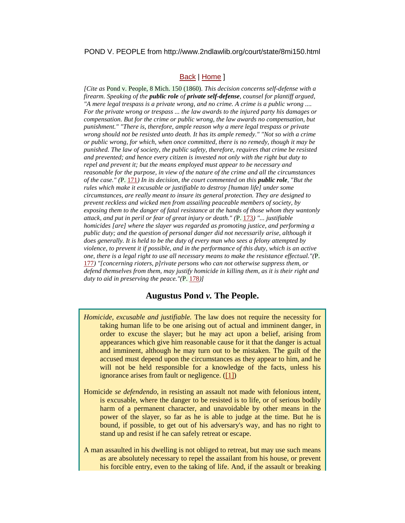#### POND V. PEOPLE from http://www.2ndlawlib.org/court/state/8mi150.html

## [Back](http://www.2ndlawlib.org/court/state/) | [Home](http://www.2ndlawlib.org/) ]

*[Cite as* Pond v. People, 8 Mich. 150 (1860)*. This decision concerns self-defense with a firearm. Speaking of the public role of private self-defense, counsel for plantiff argued, "A mere legal trespass is a private wrong, and no crime. A crime is a public wrong .... For the private wrong or trespass ... the law awards to the injured party his damages or compensation. But for the crime or public wrong, the law awards no compensation, but punishment." "There is, therefore, ample reason why a mere legal trespass or private wrong should not be resisted unto death. It has its ample remedy." "Not so with a crime or public wrong, for which, when once committed, there is no remedy, though it may be punished. The law of society, the public safety, therefore, requires that crime be resisted and prevented; and hence every citizen is invested not only with the right but duty to repel and prevent it; but the means employed must appear to be necessary and reasonable for the purpose, in view of the nature of the crime and all the circumstances of the case." (*P[. 171](http://www.2ndlawlib.org/court/state/#pg171)*) In its decision, the court commented on this public role, "But the rules which make it excusable or justifiable to destroy [human life] under some circumstances, are really meant to insure its general protection. They are designed to prevent reckless and wicked men from assailing peaceable members of society, by exposing them to the danger of fatal resistance at the hands of those whom they wantonly attack, and put in peril or fear of great injury or death." (*P[. 173](http://www.2ndlawlib.org/court/state/#pg173)*) "... justifiable homicides [are] where the slayer was regarded as promoting justice, and performing a public duty; and the question of personal danger did not necessarily arise, although it does generally. It is held to be the duty of every man who sees a felony attempted by violence, to prevent it if possible, and in the performance of this duty, which is an active one, there is a legal right to use all necessary means to make the resistance effectual."(*P. [177](http://www.2ndlawlib.org/court/state/#pg177)*) "[concerning rioters, p]rivate persons who can not otherwise suppress them, or defend themselves from them, may justify homicide in killing them, as it is their right and duty to aid in preserving the peace."(*P. [178](http://www.2ndlawlib.org/court/state/#pg178)*)]*

# **Augustus Pond** *v.* **The People.**

- *Homicide, excusable and justifiable.* The law does not require the necessity for taking human life to be one arising out of actual and imminent danger, in order to excuse the slayer; but he may act upon a belief, arising from appearances which give him reasonable cause for it that the danger is actual and imminent, although he may turn out to be mistaken. The guilt of the accused must depend upon the circumstances as they appear to him, and he will not be held responsible for a knowledge of the facts, unless his ignorance arises from fault or negligence. [\(\[1\]\)](http://www.2ndlawlib.org/court/state/#fn1)
- Homicide *se defendendo*, in resisting an assault not made with felonious intent, is excusable, where the danger to be resisted is to life, or of serious bodily harm of a permanent character, and unavoidable by other means in the power of the slayer, so far as he is able to judge at the time. But he is bound, if possible, to get out of his adversary's way, and has no right to stand up and resist if he can safely retreat or escape.
- A man assaulted in his dwelling is not obliged to retreat, but may use such means as are absolutely necessary to repel the assailant from his house, or prevent his forcible entry, even to the taking of life. And, if the assault or breaking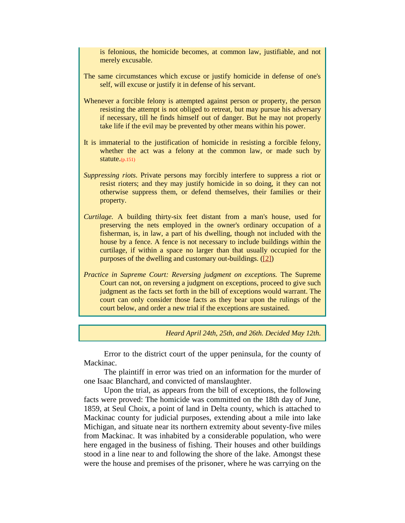is felonious, the homicide becomes, at common law, justifiable, and not merely excusable.

- The same circumstances which excuse or justify homicide in defense of one's self, will excuse or justify it in defense of his servant.
- Whenever a forcible felony is attempted against person or property, the person resisting the attempt is not obliged to retreat, but may pursue his adversary if necessary, till he finds himself out of danger. But he may not properly take life if the evil may be prevented by other means within his power.
- It is immaterial to the justification of homicide in resisting a forcible felony, whether the act was a felony at the common law, or made such by statute.(p.151)
- *Suppressing riots*. Private persons may forcibly interfere to suppress a riot or resist rioters; and they may justify homicide in so doing, it they can not otherwise suppress them, or defend themselves, their families or their property.
- *Curtilage.* A building thirty-six feet distant from a man's house, used for preserving the nets employed in the owner's ordinary occupation of a fisherman, is, in law, a part of his dwelling, though not included with the house by a fence. A fence is not necessary to include buildings within the curtilage, if within a space no larger than that usually occupied for the purposes of the dwelling and customary out-buildings. [\(\[2\]\)](http://www.2ndlawlib.org/court/state/#fn2)
- *Practice in Supreme Court: Reversing judgment on exceptions.* The Supreme Court can not, on reversing a judgment on exceptions, proceed to give such judgment as the facts set forth in the bill of exceptions would warrant. The court can only consider those facts as they bear upon the rulings of the court below, and order a new trial if the exceptions are sustained.

*Heard April 24th, 25th, and 26th. Decided May 12th.*

Error to the district court of the upper peninsula, for the county of Mackinac.

The plaintiff in error was tried on an information for the murder of one Isaac Blanchard, and convicted of manslaughter.

Upon the trial, as appears from the bill of exceptions, the following facts were proved: The homicide was committed on the 18th day of June, 1859, at Seul Choix, a point of land in Delta county, which is attached to Mackinac county for judicial purposes, extending about a mile into lake Michigan, and situate near its northern extremity about seventy-five miles from Mackinac. It was inhabited by a considerable population, who were here engaged in the business of fishing. Their houses and other buildings stood in a line near to and following the shore of the lake. Amongst these were the house and premises of the prisoner, where he was carrying on the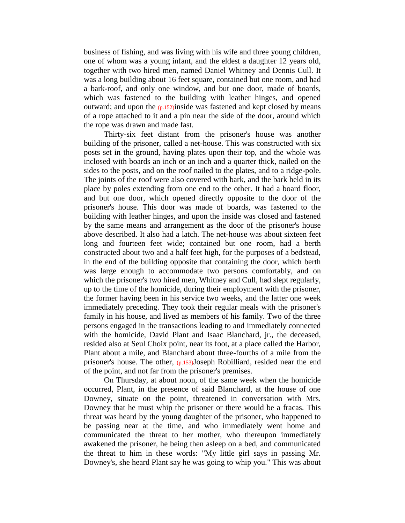business of fishing, and was living with his wife and three young children, one of whom was a young infant, and the eldest a daughter 12 years old, together with two hired men, named Daniel Whitney and Dennis Cull. It was a long building about 16 feet square, contained but one room, and had a bark-roof, and only one window, and but one door, made of boards, which was fastened to the building with leather hinges, and opened outward; and upon the  $(p.152)$  inside was fastened and kept closed by means of a rope attached to it and a pin near the side of the door, around which the rope was drawn and made fast.

Thirty-six feet distant from the prisoner's house was another building of the prisoner, called a net-house. This was constructed with six posts set in the ground, having plates upon their top, and the whole was inclosed with boards an inch or an inch and a quarter thick, nailed on the sides to the posts, and on the roof nailed to the plates, and to a ridge-pole. The joints of the roof were also covered with bark, and the bark held in its place by poles extending from one end to the other. It had a board floor, and but one door, which opened directly opposite to the door of the prisoner's house. This door was made of boards, was fastened to the building with leather hinges, and upon the inside was closed and fastened by the same means and arrangement as the door of the prisoner's house above described. It also had a latch. The net-house was about sixteen feet long and fourteen feet wide; contained but one room, had a berth constructed about two and a half feet high, for the purposes of a bedstead, in the end of the building opposite that containing the door, which berth was large enough to accommodate two persons comfortably, and on which the prisoner's two hired men, Whitney and Cull, had slept regularly, up to the time of the homicide, during their employment with the prisoner, the former having been in his service two weeks, and the latter one week immediately preceding. They took their regular meals with the prisoner's family in his house, and lived as members of his family. Two of the three persons engaged in the transactions leading to and immediately connected with the homicide, David Plant and Isaac Blanchard, jr., the deceased, resided also at Seul Choix point, near its foot, at a place called the Harbor, Plant about a mile, and Blanchard about three-fourths of a mile from the prisoner's house. The other, (p.153)Joseph Robilliard, resided near the end of the point, and not far from the prisoner's premises.

On Thursday, at about noon, of the same week when the homicide occurred, Plant, in the presence of said Blanchard, at the house of one Downey, situate on the point, threatened in conversation with Mrs. Downey that he must whip the prisoner or there would be a fracas. This threat was heard by the young daughter of the prisoner, who happened to be passing near at the time, and who immediately went home and communicated the threat to her mother, who thereupon immediately awakened the prisoner, he being then asleep on a bed, and communicated the threat to him in these words: "My little girl says in passing Mr. Downey's, she heard Plant say he was going to whip you." This was about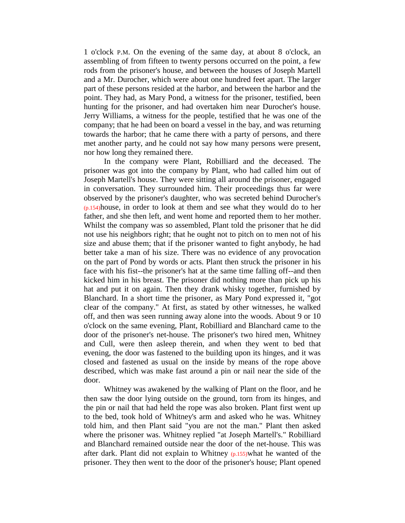1 o'clock P.M. On the evening of the same day, at about 8 o'clock, an assembling of from fifteen to twenty persons occurred on the point, a few rods from the prisoner's house, and between the houses of Joseph Martell and a Mr. Durocher, which were about one hundred feet apart. The larger part of these persons resided at the harbor, and between the harbor and the point. They had, as Mary Pond, a witness for the prisoner, testified, been hunting for the prisoner, and had overtaken him near Durocher's house. Jerry Williams, a witness for the people, testified that he was one of the company; that he had been on board a vessel in the bay, and was returning towards the harbor; that he came there with a party of persons, and there met another party, and he could not say how many persons were present, nor how long they remained there.

In the company were Plant, Robilliard and the deceased. The prisoner was got into the company by Plant, who had called him out of Joseph Martell's house. They were sitting all around the prisoner, engaged in conversation. They surrounded him. Their proceedings thus far were observed by the prisoner's daughter, who was secreted behind Durocher's (p.154)house, in order to look at them and see what they would do to her father, and she then left, and went home and reported them to her mother. Whilst the company was so assembled, Plant told the prisoner that he did not use his neighbors right; that he ought not to pitch on to men not of his size and abuse them; that if the prisoner wanted to fight anybody, he had better take a man of his size. There was no evidence of any provocation on the part of Pond by words or acts. Plant then struck the prisoner in his face with his fist--the prisoner's hat at the same time falling off--and then kicked him in his breast. The prisoner did nothing more than pick up his hat and put it on again. Then they drank whisky together, furnished by Blanchard. In a short time the prisoner, as Mary Pond expressed it, "got clear of the company." At first, as stated by other witnesses, he walked off, and then was seen running away alone into the woods. About 9 or 10 o'clock on the same evening, Plant, Robilliard and Blanchard came to the door of the prisoner's net-house. The prisoner's two hired men, Whitney and Cull, were then asleep therein, and when they went to bed that evening, the door was fastened to the building upon its hinges, and it was closed and fastened as usual on the inside by means of the rope above described, which was make fast around a pin or nail near the side of the door.

Whitney was awakened by the walking of Plant on the floor, and he then saw the door lying outside on the ground, torn from its hinges, and the pin or nail that had held the rope was also broken. Plant first went up to the bed, took hold of Whitney's arm and asked who he was. Whitney told him, and then Plant said "you are not the man." Plant then asked where the prisoner was. Whitney replied "at Joseph Martell's." Robilliard and Blanchard remained outside near the door of the net-house. This was after dark. Plant did not explain to Whitney (p.155)what he wanted of the prisoner. They then went to the door of the prisoner's house; Plant opened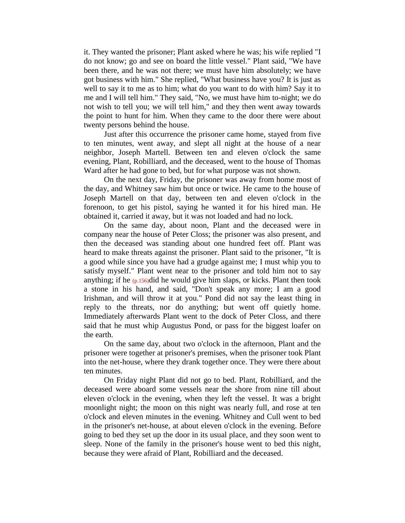it. They wanted the prisoner; Plant asked where he was; his wife replied "I do not know; go and see on board the little vessel." Plant said, "We have been there, and he was not there; we must have him absolutely; we have got business with him." She replied, "What business have you? It is just as well to say it to me as to him; what do you want to do with him? Say it to me and I will tell him." They said, "No, we must have him to-night; we do not wish to tell you; we will tell him," and they then went away towards the point to hunt for him. When they came to the door there were about twenty persons behind the house.

Just after this occurrence the prisoner came home, stayed from five to ten minutes, went away, and slept all night at the house of a near neighbor, Joseph Martell. Between ten and eleven o'clock the same evening, Plant, Robilliard, and the deceased, went to the house of Thomas Ward after he had gone to bed, but for what purpose was not shown.

On the next day, Friday, the prisoner was away from home most of the day, and Whitney saw him but once or twice. He came to the house of Joseph Martell on that day, between ten and eleven o'clock in the forenoon, to get his pistol, saying he wanted it for his hired man. He obtained it, carried it away, but it was not loaded and had no lock.

On the same day, about noon, Plant and the deceased were in company near the house of Peter Closs; the prisoner was also present, and then the deceased was standing about one hundred feet off. Plant was heard to make threats against the prisoner. Plant said to the prisoner, "It is a good while since you have had a grudge against me; I must whip you to satisfy myself." Plant went near to the prisoner and told him not to say anything; if he  $(p.156)$ did he would give him slaps, or kicks. Plant then took a stone in his hand, and said, "Don't speak any more; I am a good Irishman, and will throw it at you." Pond did not say the least thing in reply to the threats, nor do anything; but went off quietly home. Immediately afterwards Plant went to the dock of Peter Closs, and there said that he must whip Augustus Pond, or pass for the biggest loafer on the earth.

On the same day, about two o'clock in the afternoon, Plant and the prisoner were together at prisoner's premises, when the prisoner took Plant into the net-house, where they drank together once. They were there about ten minutes.

On Friday night Plant did not go to bed. Plant, Robilliard, and the deceased were aboard some vessels near the shore from nine till about eleven o'clock in the evening, when they left the vessel. It was a bright moonlight night; the moon on this night was nearly full, and rose at ten o'clock and eleven minutes in the evening. Whitney and Cull went to bed in the prisoner's net-house, at about eleven o'clock in the evening. Before going to bed they set up the door in its usual place, and they soon went to sleep. None of the family in the prisoner's house went to bed this night, because they were afraid of Plant, Robilliard and the deceased.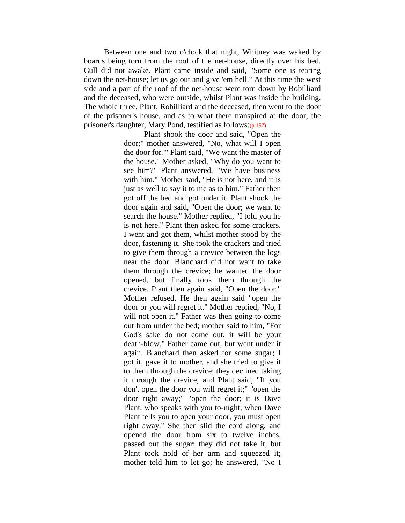Between one and two o'clock that night, Whitney was waked by boards being torn from the roof of the net-house, directly over his bed. Cull did not awake. Plant came inside and said, "Some one is tearing down the net-house; let us go out and give 'em hell." At this time the west side and a part of the roof of the net-house were torn down by Robilliard and the deceased, who were outside, whilst Plant was inside the building. The whole three, Plant, Robilliard and the deceased, then went to the door of the prisoner's house, and as to what there transpired at the door, the prisoner's daughter, Mary Pond, testified as follows:(p.157)

> Plant shook the door and said, "Open the door;" mother answered, "No, what will I open the door for?" Plant said, "We want the master of the house." Mother asked, "Why do you want to see him?" Plant answered, "We have business with him." Mother said, "He is not here, and it is just as well to say it to me as to him." Father then got off the bed and got under it. Plant shook the door again and said, "Open the door; we want to search the house." Mother replied, "I told you he is not here." Plant then asked for some crackers. I went and got them, whilst mother stood by the door, fastening it. She took the crackers and tried to give them through a crevice between the logs near the door. Blanchard did not want to take them through the crevice; he wanted the door opened, but finally took them through the crevice. Plant then again said, "Open the door." Mother refused. He then again said "open the door or you will regret it." Mother replied, "No, I will not open it." Father was then going to come out from under the bed; mother said to him, "For God's sake do not come out, it will be your death-blow." Father came out, but went under it again. Blanchard then asked for some sugar; I got it, gave it to mother, and she tried to give it to them through the crevice; they declined taking it through the crevice, and Plant said, "If you don't open the door you will regret it;" "open the door right away;" "open the door; it is Dave Plant, who speaks with you to-night; when Dave Plant tells you to open your door, you must open right away." She then slid the cord along, and opened the door from six to twelve inches, passed out the sugar; they did not take it, but Plant took hold of her arm and squeezed it; mother told him to let go; he answered, "No I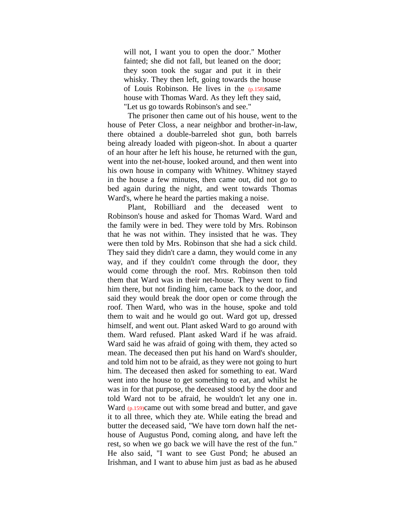will not, I want you to open the door." Mother fainted; she did not fall, but leaned on the door; they soon took the sugar and put it in their whisky. They then left, going towards the house of Louis Robinson. He lives in the  $(p.158)$ same house with Thomas Ward. As they left they said, "Let us go towards Robinson's and see."

The prisoner then came out of his house, went to the house of Peter Closs, a near neighbor and brother-in-law, there obtained a double-barreled shot gun, both barrels being already loaded with pigeon-shot. In about a quarter of an hour after he left his house, he returned with the gun, went into the net-house, looked around, and then went into his own house in company with Whitney. Whitney stayed in the house a few minutes, then came out, did not go to bed again during the night, and went towards Thomas Ward's, where he heard the parties making a noise.

Plant, Robilliard and the deceased went to Robinson's house and asked for Thomas Ward. Ward and the family were in bed. They were told by Mrs. Robinson that he was not within. They insisted that he was. They were then told by Mrs. Robinson that she had a sick child. They said they didn't care a damn, they would come in any way, and if they couldn't come through the door, they would come through the roof. Mrs. Robinson then told them that Ward was in their net-house. They went to find him there, but not finding him, came back to the door, and said they would break the door open or come through the roof. Then Ward, who was in the house, spoke and told them to wait and he would go out. Ward got up, dressed himself, and went out. Plant asked Ward to go around with them. Ward refused. Plant asked Ward if he was afraid. Ward said he was afraid of going with them, they acted so mean. The deceased then put his hand on Ward's shoulder, and told him not to be afraid, as they were not going to hurt him. The deceased then asked for something to eat. Ward went into the house to get something to eat, and whilst he was in for that purpose, the deceased stood by the door and told Ward not to be afraid, he wouldn't let any one in. Ward (p.159)came out with some bread and butter, and gave it to all three, which they ate. While eating the bread and butter the deceased said, "We have torn down half the nethouse of Augustus Pond, coming along, and have left the rest, so when we go back we will have the rest of the fun." He also said, "I want to see Gust Pond; he abused an Irishman, and I want to abuse him just as bad as he abused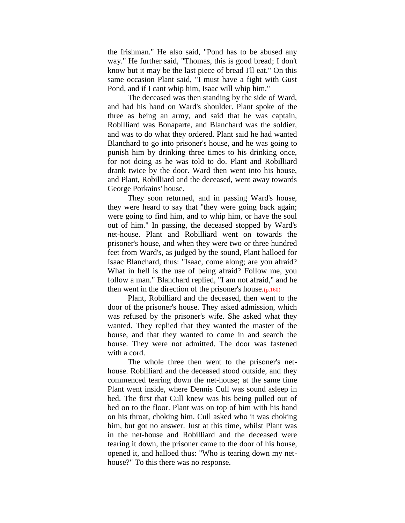the Irishman." He also said, "Pond has to be abused any way." He further said, "Thomas, this is good bread; I don't know but it may be the last piece of bread I'll eat." On this same occasion Plant said, "I must have a fight with Gust Pond, and if I cant whip him, Isaac will whip him."

The deceased was then standing by the side of Ward, and had his hand on Ward's shoulder. Plant spoke of the three as being an army, and said that he was captain, Robilliard was Bonaparte, and Blanchard was the soldier, and was to do what they ordered. Plant said he had wanted Blanchard to go into prisoner's house, and he was going to punish him by drinking three times to his drinking once, for not doing as he was told to do. Plant and Robilliard drank twice by the door. Ward then went into his house, and Plant, Robilliard and the deceased, went away towards George Porkains' house.

They soon returned, and in passing Ward's house, they were heard to say that "they were going back again; were going to find him, and to whip him, or have the soul out of him." In passing, the deceased stopped by Ward's net-house. Plant and Robilliard went on towards the prisoner's house, and when they were two or three hundred feet from Ward's, as judged by the sound, Plant halloed for Isaac Blanchard, thus: "Isaac, come along; are you afraid? What in hell is the use of being afraid? Follow me, you follow a man." Blanchard replied, "I am not afraid," and he then went in the direction of the prisoner's house. $(p, 160)$ 

Plant, Robilliard and the deceased, then went to the door of the prisoner's house. They asked admission, which was refused by the prisoner's wife. She asked what they wanted. They replied that they wanted the master of the house, and that they wanted to come in and search the house. They were not admitted. The door was fastened with a cord.

The whole three then went to the prisoner's nethouse. Robilliard and the deceased stood outside, and they commenced tearing down the net-house; at the same time Plant went inside, where Dennis Cull was sound asleep in bed. The first that Cull knew was his being pulled out of bed on to the floor. Plant was on top of him with his hand on his throat, choking him. Cull asked who it was choking him, but got no answer. Just at this time, whilst Plant was in the net-house and Robilliard and the deceased were tearing it down, the prisoner came to the door of his house, opened it, and halloed thus: "Who is tearing down my nethouse?" To this there was no response.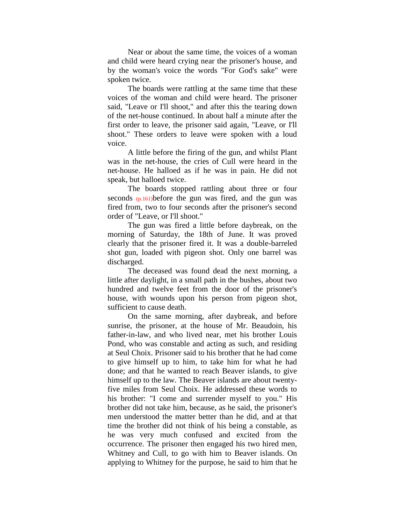Near or about the same time, the voices of a woman and child were heard crying near the prisoner's house, and by the woman's voice the words "For God's sake" were spoken twice.

The boards were rattling at the same time that these voices of the woman and child were heard. The prisoner said, "Leave or I'll shoot," and after this the tearing down of the net-house continued. In about half a minute after the first order to leave, the prisoner said again, "Leave, or I'll shoot." These orders to leave were spoken with a loud voice.

A little before the firing of the gun, and whilst Plant was in the net-house, the cries of Cull were heard in the net-house. He halloed as if he was in pain. He did not speak, but halloed twice.

The boards stopped rattling about three or four seconds (p.161)before the gun was fired, and the gun was fired from, two to four seconds after the prisoner's second order of "Leave, or I'll shoot."

The gun was fired a little before daybreak, on the morning of Saturday, the 18th of June. It was proved clearly that the prisoner fired it. It was a double-barreled shot gun, loaded with pigeon shot. Only one barrel was discharged.

The deceased was found dead the next morning, a little after daylight, in a small path in the bushes, about two hundred and twelve feet from the door of the prisoner's house, with wounds upon his person from pigeon shot, sufficient to cause death.

On the same morning, after daybreak, and before sunrise, the prisoner, at the house of Mr. Beaudoin, his father-in-law, and who lived near, met his brother Louis Pond, who was constable and acting as such, and residing at Seul Choix. Prisoner said to his brother that he had come to give himself up to him, to take him for what he had done; and that he wanted to reach Beaver islands, to give himself up to the law. The Beaver islands are about twentyfive miles from Seul Choix. He addressed these words to his brother: "I come and surrender myself to you." His brother did not take him, because, as he said, the prisoner's men understood the matter better than he did, and at that time the brother did not think of his being a constable, as he was very much confused and excited from the occurrence. The prisoner then engaged his two hired men, Whitney and Cull, to go with him to Beaver islands. On applying to Whitney for the purpose, he said to him that he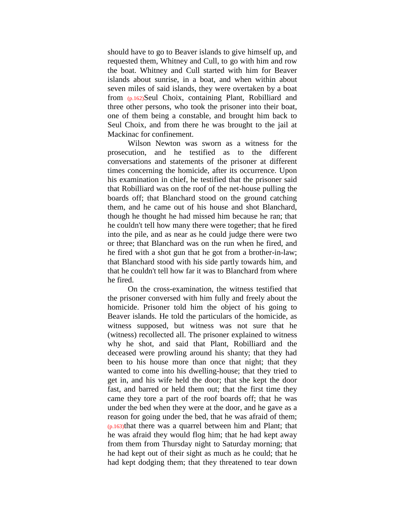should have to go to Beaver islands to give himself up, and requested them, Whitney and Cull, to go with him and row the boat. Whitney and Cull started with him for Beaver islands about sunrise, in a boat, and when within about seven miles of said islands, they were overtaken by a boat from (p.162)Seul Choix, containing Plant, Robilliard and three other persons, who took the prisoner into their boat, one of them being a constable, and brought him back to Seul Choix, and from there he was brought to the jail at Mackinac for confinement.

Wilson Newton was sworn as a witness for the prosecution, and he testified as to the different conversations and statements of the prisoner at different times concerning the homicide, after its occurrence. Upon his examination in chief, he testified that the prisoner said that Robilliard was on the roof of the net-house pulling the boards off; that Blanchard stood on the ground catching them, and he came out of his house and shot Blanchard, though he thought he had missed him because he ran; that he couldn't tell how many there were together; that he fired into the pile, and as near as he could judge there were two or three; that Blanchard was on the run when he fired, and he fired with a shot gun that he got from a brother-in-law; that Blanchard stood with his side partly towards him, and that he couldn't tell how far it was to Blanchard from where he fired.

On the cross-examination, the witness testified that the prisoner conversed with him fully and freely about the homicide. Prisoner told him the object of his going to Beaver islands. He told the particulars of the homicide, as witness supposed, but witness was not sure that he (witness) recollected all. The prisoner explained to witness why he shot, and said that Plant, Robilliard and the deceased were prowling around his shanty; that they had been to his house more than once that night; that they wanted to come into his dwelling-house; that they tried to get in, and his wife held the door; that she kept the door fast, and barred or held them out; that the first time they came they tore a part of the roof boards off; that he was under the bed when they were at the door, and he gave as a reason for going under the bed, that he was afraid of them;  $(p.163)$ that there was a quarrel between him and Plant; that he was afraid they would flog him; that he had kept away from them from Thursday night to Saturday morning; that he had kept out of their sight as much as he could; that he had kept dodging them; that they threatened to tear down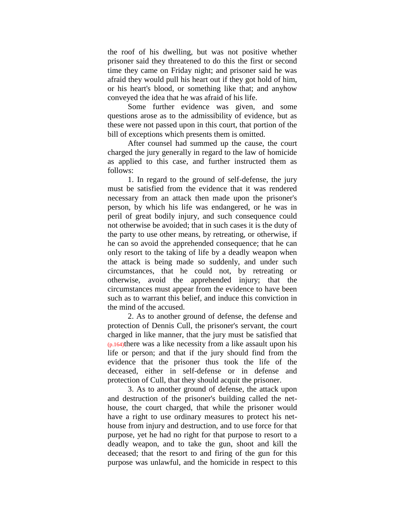the roof of his dwelling, but was not positive whether prisoner said they threatened to do this the first or second time they came on Friday night; and prisoner said he was afraid they would pull his heart out if they got hold of him, or his heart's blood, or something like that; and anyhow conveyed the idea that he was afraid of his life.

Some further evidence was given, and some questions arose as to the admissibility of evidence, but as these were not passed upon in this court, that portion of the bill of exceptions which presents them is omitted.

After counsel had summed up the cause, the court charged the jury generally in regard to the law of homicide as applied to this case, and further instructed them as follows:

1. In regard to the ground of self-defense, the jury must be satisfied from the evidence that it was rendered necessary from an attack then made upon the prisoner's person, by which his life was endangered, or he was in peril of great bodily injury, and such consequence could not otherwise be avoided; that in such cases it is the duty of the party to use other means, by retreating, or otherwise, if he can so avoid the apprehended consequence; that he can only resort to the taking of life by a deadly weapon when the attack is being made so suddenly, and under such circumstances, that he could not, by retreating or otherwise, avoid the apprehended injury; that the circumstances must appear from the evidence to have been such as to warrant this belief, and induce this conviction in the mind of the accused.

2. As to another ground of defense, the defense and protection of Dennis Cull, the prisoner's servant, the court charged in like manner, that the jury must be satisfied that  $(p.164)$ there was a like necessity from a like assault upon his life or person; and that if the jury should find from the evidence that the prisoner thus took the life of the deceased, either in self-defense or in defense and protection of Cull, that they should acquit the prisoner.

3. As to another ground of defense, the attack upon and destruction of the prisoner's building called the nethouse, the court charged, that while the prisoner would have a right to use ordinary measures to protect his nethouse from injury and destruction, and to use force for that purpose, yet he had no right for that purpose to resort to a deadly weapon, and to take the gun, shoot and kill the deceased; that the resort to and firing of the gun for this purpose was unlawful, and the homicide in respect to this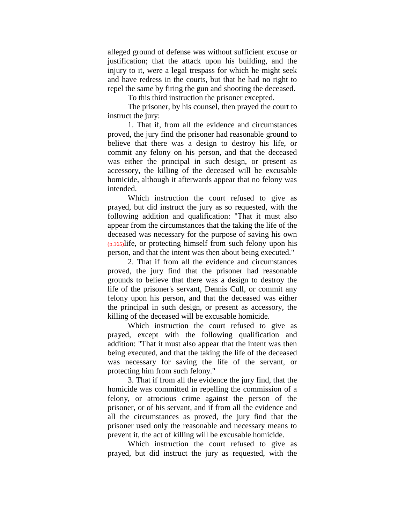alleged ground of defense was without sufficient excuse or justification; that the attack upon his building, and the injury to it, were a legal trespass for which he might seek and have redress in the courts, but that he had no right to repel the same by firing the gun and shooting the deceased.

To this third instruction the prisoner excepted.

The prisoner, by his counsel, then prayed the court to instruct the jury:

1. That if, from all the evidence and circumstances proved, the jury find the prisoner had reasonable ground to believe that there was a design to destroy his life, or commit any felony on his person, and that the deceased was either the principal in such design, or present as accessory, the killing of the deceased will be excusable homicide, although it afterwards appear that no felony was intended.

Which instruction the court refused to give as prayed, but did instruct the jury as so requested, with the following addition and qualification: "That it must also appear from the circumstances that the taking the life of the deceased was necessary for the purpose of saving his own  $(p.165)$ life, or protecting himself from such felony upon his person, and that the intent was then about being executed."

2. That if from all the evidence and circumstances proved, the jury find that the prisoner had reasonable grounds to believe that there was a design to destroy the life of the prisoner's servant, Dennis Cull, or commit any felony upon his person, and that the deceased was either the principal in such design, or present as accessory, the killing of the deceased will be excusable homicide.

Which instruction the court refused to give as prayed, except with the following qualification and addition: "That it must also appear that the intent was then being executed, and that the taking the life of the deceased was necessary for saving the life of the servant, or protecting him from such felony."

3. That if from all the evidence the jury find, that the homicide was committed in repelling the commission of a felony, or atrocious crime against the person of the prisoner, or of his servant, and if from all the evidence and all the circumstances as proved, the jury find that the prisoner used only the reasonable and necessary means to prevent it, the act of killing will be excusable homicide.

Which instruction the court refused to give as prayed, but did instruct the jury as requested, with the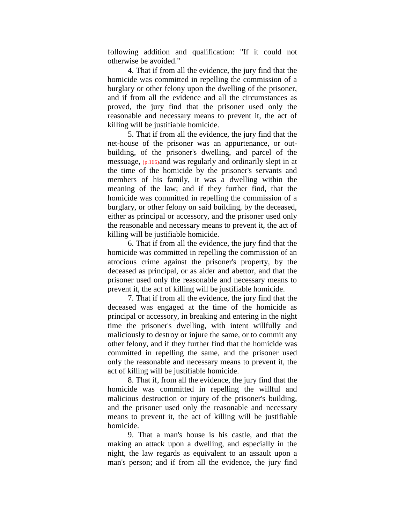following addition and qualification: "If it could not otherwise be avoided."

4. That if from all the evidence, the jury find that the homicide was committed in repelling the commission of a burglary or other felony upon the dwelling of the prisoner, and if from all the evidence and all the circumstances as proved, the jury find that the prisoner used only the reasonable and necessary means to prevent it, the act of killing will be justifiable homicide.

5. That if from all the evidence, the jury find that the net-house of the prisoner was an appurtenance, or outbuilding, of the prisoner's dwelling, and parcel of the messuage, (p.166)and was regularly and ordinarily slept in at the time of the homicide by the prisoner's servants and members of his family, it was a dwelling within the meaning of the law; and if they further find, that the homicide was committed in repelling the commission of a burglary, or other felony on said building, by the deceased, either as principal or accessory, and the prisoner used only the reasonable and necessary means to prevent it, the act of killing will be justifiable homicide.

6. That if from all the evidence, the jury find that the homicide was committed in repelling the commission of an atrocious crime against the prisoner's property, by the deceased as principal, or as aider and abettor, and that the prisoner used only the reasonable and necessary means to prevent it, the act of killing will be justifiable homicide.

7. That if from all the evidence, the jury find that the deceased was engaged at the time of the homicide as principal or accessory, in breaking and entering in the night time the prisoner's dwelling, with intent willfully and maliciously to destroy or injure the same, or to commit any other felony, and if they further find that the homicide was committed in repelling the same, and the prisoner used only the reasonable and necessary means to prevent it, the act of killing will be justifiable homicide.

8. That if, from all the evidence, the jury find that the homicide was committed in repelling the willful and malicious destruction or injury of the prisoner's building, and the prisoner used only the reasonable and necessary means to prevent it, the act of killing will be justifiable homicide.

9. That a man's house is his castle, and that the making an attack upon a dwelling, and especially in the night, the law regards as equivalent to an assault upon a man's person; and if from all the evidence, the jury find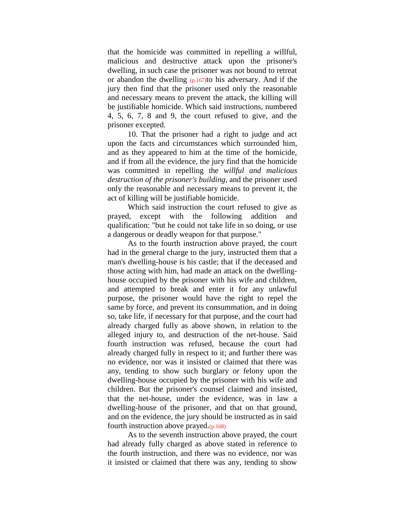that the homicide was committed in repelling a willful, malicious and destructive attack upon the prisoner's dwelling, in such case the prisoner was not bound to retreat or abandon the dwelling  $(p.167)$  to his adversary. And if the jury then find that the prisoner used only the reasonable and necessary means to prevent the attack, the killing will be justifiable homicide. Which said instructions, numbered 4, 5, 6, 7, 8 and 9, the court refused to give, and the prisoner excepted.

10. That the prisoner had a right to judge and act upon the facts and circumstances which surrounded him, and as they appeared to him at the time of the homicide, and if from all the evidence, the jury find that the homicide was committed in repelling the *willful and malicious destruction of the prisoner's building*, and the prisoner used only the reasonable and necessary means to prevent it, the act of killing will be justifiable homicide.

Which said instruction the court refused to give as prayed, except with the following addition and qualification: "but he could not take life in so doing, or use a dangerous or deadly weapon for that purpose."

As to the fourth instruction above prayed, the court had in the general charge to the jury, instructed them that a man's dwelling-house is his castle; that if the deceased and those acting with him, had made an attack on the dwellinghouse occupied by the prisoner with his wife and children, and attempted to break and enter it for any unlawful purpose, the prisoner would have the right to repel the same by force, and prevent its consummation, and in doing so, take life, if necessary for that purpose, and the court had already charged fully as above shown, in relation to the alleged injury to, and destruction of the net-house. Said fourth instruction was refused, because the court had already charged fully in respect to it; and further there was no evidence, nor was it insisted or claimed that there was any, tending to show such burglary or felony upon the dwelling-house occupied by the prisoner with his wife and children. But the prisoner's counsel claimed and insisted, that the net-house, under the evidence, was in law a dwelling-house of the prisoner, and that on that ground, and on the evidence, the jury should be instructed as in said fourth instruction above prayed. $(p.168)$ 

As to the seventh instruction above prayed, the court had already fully charged as above stated in reference to the fourth instruction, and there was no evidence, nor was it insisted or claimed that there was any, tending to show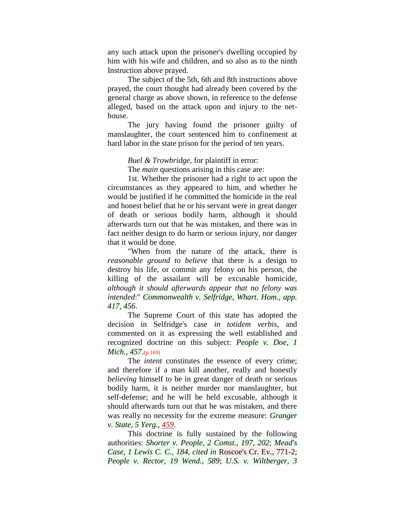any such attack upon the prisoner's dwelling occupied by him with his wife and children, and so also as to the ninth Instruction above prayed.

The subject of the 5th, 6th and 8th instructions above prayed, the court thought had already been covered by the general charge as above shown, in reference to the defense alleged, based on the attack upon and injury to the nethouse.

The jury having found the prisoner guilty of manslaughter, the court sentenced him to confinement at hard labor in the state prison for the period of ten years.

*Buel & Trowbridge*, for plaintiff in error:

The *main* questions arising in this case are:

1st. Whether the prisoner had a right to act upon the circumstances as they appeared to him, and whether he would be justified if he committed the homicide in the real and honest belief that he or his servant were in great danger of death or serious bodily harm, although it should afterwards turn out that he was mistaken, and there was in fact neither design to do harm or serious injury, nor danger that it would be done.

"When from the nature of the attack, there is *reasonable ground to believe* that there is a design to destroy his life, or commit any felony on his person, the killing of the assailant will be excusable homicide, *although it should afterwards appear that no felony was intended*:" *Commonwealth v. Selfridge, Whart. Hom., app. 417, 456*.

The Supreme Court of this state has adopted the decision in Selfridge's case *in totidem verbis*, and commented on it as expressing the well established and recognized doctrine on this subject: *People v. Doe, 1 Mich., 457*.(p.169)

The *intent* constitutes the essence of every crime; and therefore if a man kill another, really and honestly *believing* himself to be in great danger of death or serious bodily harm, it is neither murder nor manslaughter, but self-defense; and he will be held excusable, although it should afterwards turn out that he was mistaken, and there was really no necessity for the extreme measure: *Granger v. State, 5 Yerg., [459](http://www.2ndlawlib.org/court/state/13tn459.html)*.

This doctrine is fully sustained by the following authorities: *Shorter v. People, 2 Comst., 197, 202*; *Mead's Case, 1 Lewis C. C., 184, cited in* Roscoe's Cr. Ev., 771-2; *People v. Rector, 19 Wend., 589*; *U.S. v. Wiltberger, 3*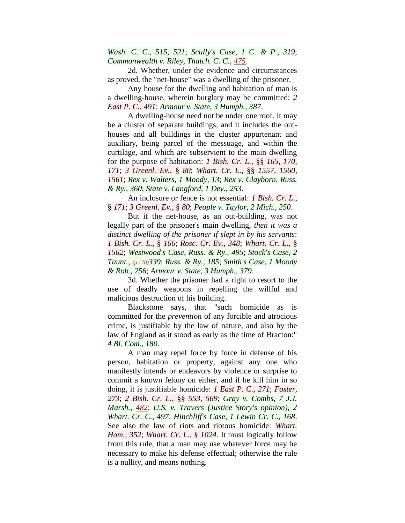*Wash. C. C., 515, 521*; *Scully's Case, 1 C. & P., 319*; *Commonwealth v. Riley, Thatch. C. C., [475](http://www.2ndlawlib.org/court/state/thaccc471.html#pg475)*.

2d. Whether, under the evidence and circumstances as proved, the "net-house" was a dwelling of the prisoner.

Any house for the dwelling and habitation of man is a dwelling-house, wherein burglary may be committed: *2 East P. C., 491*; *Armour v. State, 3 Humph., 387*.

A dwelling-house need not be under one roof. It may be a cluster of separate buildings, and it includes the outhouses and all buildings in the cluster appurtenant and auxiliary, being parcel of the messuage, and within the curtilage, and which are subservient to the main dwelling for the purpose of habitation: *1 Bish. Cr. L.*, §§ *165, 170, 171*; *3 Greenl. Ev.*, § *80*; *Whart. Cr. L.*, §§ *1557, 1560, 1561*; *Rex v. Walters, 1 Moody, 13*; *Rex v. Clayborn, Russ. & Ry., 360*; *State v. Langford, 1 Dev., 253*.

An inclosure or fence is not essential: *1 Bish. Cr. L.*, § *171*; *3 Greenl. Ev.*, § *80*; *People v. Taylor, 2 Mich., 250*.

But if the net-house, as an out-building, was not legally part of the prisoner's main dwelling, *then it was a distinct dwelling of the prisoner if slept in by his servants*: *1 Bish. Cr. L.*, § *166*; *Rosc. Cr. Ev., 348*; *Whart. Cr. L.*, § *1562*; *Westwood's Case, Russ. & Ry., 495*; *Stock's Case, 2 Taunt., (p.170)339*; *Russ. & Ry., 185*; *Smith's Case, 1 Moody & Rob., 256*; *Armour v. State, 3 Humph., 379*.

3d. Whether the prisoner had a right to resort to the use of deadly weapons in repelling the willful and malicious destruction of his building.

Blackstone says, that "such homicide as is committed for the *prevention* of any forcible and atrocious crime, is justifiable by the law of nature, and also by the law of England as it stood as early as the time of Bracton:" *4 Bl. Com., 180*.

A man may repel force by force in defense of his person, habitation or property, against any one who manifestly intends or endeavors by violence or surprise to commit a known felony on either, and if he kill him in so doing, it is justifiable homicide: *1 East P. C., 271*; *Foster, 273*; *2 Bish. Cr. L.*, §§ *553, 569*; *Gray v. Combs, 7 J.J. Marsh., [482](http://www.2ndlawlib.org/court/state/30ky478.html#pg482)*; *U.S. v. Travers (Justice Story's opinion), 2 Whart. Cr. C., 497*; *Hinchliff's Case, 1 Lewin Cr. C., 168*. See also the law of riots and riotous homicide: *Whart. Hom., 352*; *Whart. Cr. L.*, § *1024*. It must logically follow from this rule, that a man may use whatever force may be necessary to make his defense effectual; otherwise the rule is a nullity, and means nothing.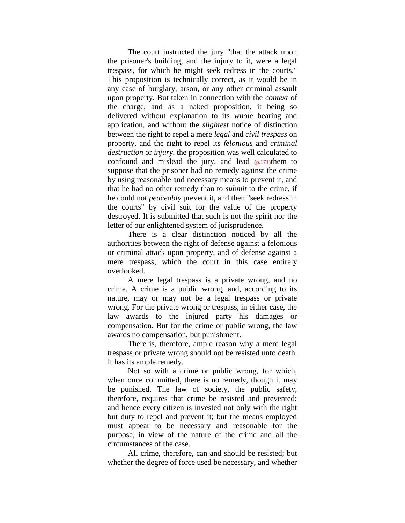The court instructed the jury "that the attack upon the prisoner's building, and the injury to it, were a legal trespass, for which he might seek redress in the courts." This proposition is technically correct, as it would be in any case of burglary, arson, or any other criminal assault upon property. But taken in connection with the *context* of the charge, and as a naked proposition, it being so delivered without explanation to its *whole* bearing and application, and without the *slightest* notice of distinction between the right to repel a mere *legal* and *civil trespass* on property, and the right to repel its *felonious* and *criminal destruction* or *injury*, the proposition was well calculated to confound and mislead the jury, and lead  $(p.171)$ them to suppose that the prisoner had no remedy against the crime by using reasonable and necessary means to prevent it, and that he had no other remedy than to *submit* to the crime, if he could not *peaceably* prevent it, and then "seek redress in the courts" by civil suit for the value of the property destroyed. It is submitted that such is not the spirit nor the letter of our enlightened system of jurisprudence.

There is a clear distinction noticed by all the authorities between the right of defense against a felonious or criminal attack upon property, and of defense against a mere trespass, which the court in this case entirely overlooked.

A mere legal trespass is a private wrong, and no crime. A crime is a public wrong, and, according to its nature, may or may not be a legal trespass or private wrong. For the private wrong or trespass, in either case, the law awards to the injured party his damages or compensation. But for the crime or public wrong, the law awards no compensation, but punishment.

There is, therefore, ample reason why a mere legal trespass or private wrong should not be resisted unto death. It has its ample remedy.

Not so with a crime or public wrong, for which, when once committed, there is no remedy, though it may be punished. The law of society, the public safety, therefore, requires that crime be resisted and prevented; and hence every citizen is invested not only with the right but duty to repel and prevent it; but the means employed must appear to be necessary and reasonable for the purpose, in view of the nature of the crime and all the circumstances of the case.

All crime, therefore, can and should be resisted; but whether the degree of force used be necessary, and whether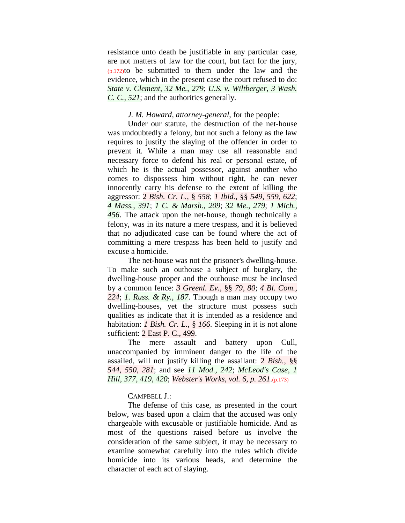resistance unto death be justifiable in any particular case, are not matters of law for the court, but fact for the jury,  $(p.172)$ to be submitted to them under the law and the evidence, which in the present case the court refused to do: *State v. Clement, 32 Me., 279*; *U.S. v. Wiltberger, 3 Wash. C. C., 521*; and the authorities generally.

### *J. M. Howard, attorney-general*, for the people:

Under our statute, the destruction of the net-house was undoubtedly a felony, but not such a felony as the law requires to justify the slaying of the offender in order to prevent it. While a man may use all reasonable and necessary force to defend his real or personal estate, of which he is the actual possessor, against another who comes to dispossess him without right, he can never innocently carry his defense to the extent of killing the aggressor: 2 *Bish. Cr. L.*, § *558*; *1 Ibid.*, §§ *549, 559, 622*; *4 Mass., 391*; *1 C. & Marsh., 209*; *32 Me., 279*; *1 Mich., 456*. The attack upon the net-house, though technically a felony, was in its nature a mere trespass, and it is believed that no adjudicated case can be found where the act of committing a mere trespass has been held to justify and excuse a homicide.

The net-house was not the prisoner's dwelling-house. To make such an outhouse a subject of burglary, the dwelling-house proper and the outhouse must be inclosed by a common fence: *3 Greenl. Ev.*, §§ *79, 80*; *4 Bl. Com., 224*; *1. Russ. & Ry., 187*. Though a man may occupy two dwelling-houses, yet the structure must possess such qualities as indicate that it is intended as a residence and habitation: *1 Bish. Cr. L.*, § *166*. Sleeping in it is not alone sufficient: 2 East P. C., 499.

The mere assault and battery upon Cull, unaccompanied by imminent danger to the life of the assailed, will not justify killing the assailant: 2 *Bish.*, §§ *544, 550, 281*; and see *11 Mod., 242*; *McLeod's Case, 1 Hill, 377, 419, 420*; *Webster's Works, vol. 6, p. 261*.(p.173)

## CAMPBELL J.:

The defense of this case, as presented in the court below, was based upon a claim that the accused was only chargeable with excusable or justifiable homicide. And as most of the questions raised before us involve the consideration of the same subject, it may be necessary to examine somewhat carefully into the rules which divide homicide into its various heads, and determine the character of each act of slaying.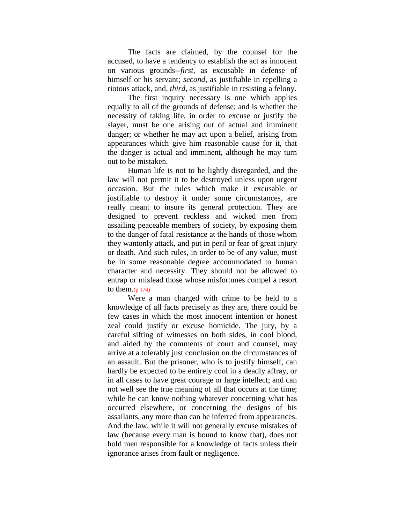The facts are claimed, by the counsel for the accused, to have a tendency to establish the act as innocent on various grounds--*first*, as excusable in defense of himself or his servant; *second*, as justifiable in repelling a riotous attack, and, *third*, as justifiable in resisting a felony.

The first inquiry necessary is one which applies equally to all of the grounds of defense; and is whether the necessity of taking life, in order to excuse or justify the slayer, must be one arising out of actual and imminent danger; or whether he may act upon a belief, arising from appearances which give him reasonable cause for it, that the danger is actual and imminent, although he may turn out to be mistaken.

Human life is not to be lightly disregarded, and the law will not permit it to be destroyed unless upon urgent occasion. But the rules which make it excusable or justifiable to destroy it under some circumstances, are really meant to insure its general protection. They are designed to prevent reckless and wicked men from assailing peaceable members of society, by exposing them to the danger of fatal resistance at the hands of those whom they wantonly attack, and put in peril or fear of great injury or death. And such rules, in order to be of any value, must be in some reasonable degree accommodated to human character and necessity. They should not be allowed to entrap or mislead those whose misfortunes compel a resort to them. $(p.174)$ 

Were a man charged with crime to be held to a knowledge of all facts precisely as they are, there could be few cases in which the most innocent intention or honest zeal could justify or excuse homicide. The jury, by a careful sifting of witnesses on both sides, in cool blood, and aided by the comments of court and counsel, may arrive at a tolerably just conclusion on the circumstances of an assault. But the prisoner, who is to justify himself, can hardly be expected to be entirely cool in a deadly affray, or in all cases to have great courage or large intellect; and can not well see the true meaning of all that occurs at the time; while he can know nothing whatever concerning what has occurred elsewhere, or concerning the designs of his assailants, any more than can be inferred from appearances. And the law, while it will not generally excuse mistakes of law (because every man is bound to know that), does not hold men responsible for a knowledge of facts unless their ignorance arises from fault or negligence.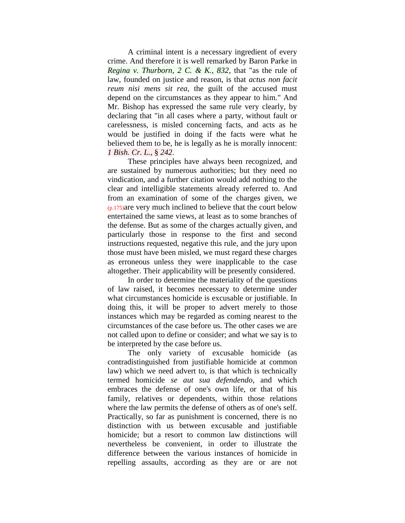A criminal intent is a necessary ingredient of every crime. And therefore it is well remarked by Baron Parke in *Regina v. Thurborn, 2 C. & K., 832*, that "as the rule of law, founded on justice and reason, is that *actus non facit reum nisi mens sit rea*, the guilt of the accused must depend on the circumstances as they appear to him." And Mr. Bishop has expressed the same rule very clearly, by declaring that "in all cases where a party, without fault or carelessness, is misled concerning facts, and acts as he would be justified in doing if the facts were what he believed them to be, he is legally as he is morally innocent: *1 Bish. Cr. L.*, § *242*.

These principles have always been recognized, and are sustained by numerous authorities; but they need no vindication, and a further citation would add nothing to the clear and intelligible statements already referred to. And from an examination of some of the charges given, we (p.175)are very much inclined to believe that the court below entertained the same views, at least as to some branches of the defense. But as some of the charges actually given, and particularly those in response to the first and second instructions requested, negative this rule, and the jury upon those must have been misled, we must regard these charges as erroneous unless they were inapplicable to the case altogether. Their applicability will be presently considered.

In order to determine the materiality of the questions of law raised, it becomes necessary to determine under what circumstances homicide is excusable or justifiable. In doing this, it will be proper to advert merely to those instances which may be regarded as coming nearest to the circumstances of the case before us. The other cases we are not called upon to define or consider; and what we say is to be interpreted by the case before us.

The only variety of excusable homicide (as contradistinguished from justifiable homicide at common law) which we need advert to, is that which is technically termed homicide *se aut sua defendendo*, and which embraces the defense of one's own life, or that of his family, relatives or dependents, within those relations where the law permits the defense of others as of one's self. Practically, so far as punishment is concerned, there is no distinction with us between excusable and justifiable homicide; but a resort to common law distinctions will nevertheless be convenient, in order to illustrate the difference between the various instances of homicide in repelling assaults, according as they are or are not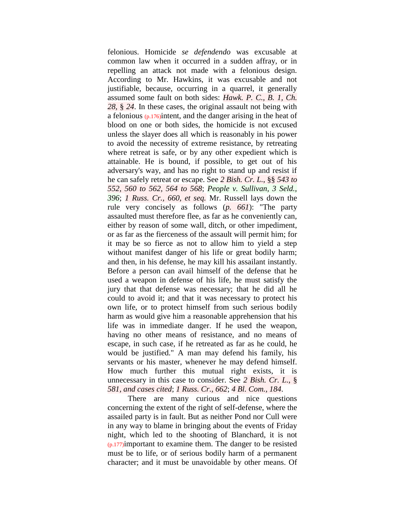felonious. Homicide *se defendendo* was excusable at common law when it occurred in a sudden affray, or in repelling an attack not made with a felonious design. According to Mr. Hawkins, it was excusable and not justifiable, because, occurring in a quarrel, it generally assumed some fault on both sides: *Hawk. P. C., B. 1, Ch. 28*, § *24*. In these cases, the original assault not being with a felonious (p.176)intent, and the danger arising in the heat of blood on one or both sides, the homicide is not excused unless the slayer does all which is reasonably in his power to avoid the necessity of extreme resistance, by retreating where retreat is safe, or by any other expedient which is attainable. He is bound, if possible, to get out of his adversary's way, and has no right to stand up and resist if he can safely retreat or escape. See *2 Bish. Cr. L.*, §§ *543 to 552, 560 to 562, 564 to 568*; *People v. Sullivan, 3 Seld., 396*; *1 Russ. Cr., 660, et seq.* Mr. Russell lays down the rule very concisely as follows (*p. 661*): "The party assaulted must therefore flee, as far as he conveniently can, either by reason of some wall, ditch, or other impediment, or as far as the fierceness of the assault will permit him; for it may be so fierce as not to allow him to yield a step without manifest danger of his life or great bodily harm; and then, in his defense, he may kill his assailant instantly. Before a person can avail himself of the defense that he used a weapon in defense of his life, he must satisfy the jury that that defense was necessary; that he did all he could to avoid it; and that it was necessary to protect his own life, or to protect himself from such serious bodily harm as would give him a reasonable apprehension that his life was in immediate danger. If he used the weapon, having no other means of resistance, and no means of escape, in such case, if he retreated as far as he could, he would be justified." A man may defend his family, his servants or his master, whenever he may defend himself. How much further this mutual right exists, it is unnecessary in this case to consider. See *2 Bish. Cr. L.*, § *581, and cases cited*; *1 Russ. Cr., 662*; *4 Bl. Com., 184*.

There are many curious and nice questions concerning the extent of the right of self-defense, where the assailed party is in fault. But as neither Pond nor Cull were in any way to blame in bringing about the events of Friday night, which led to the shooting of Blanchard, it is not  $(p.177)$ important to examine them. The danger to be resisted must be to life, or of serious bodily harm of a permanent character; and it must be unavoidable by other means. Of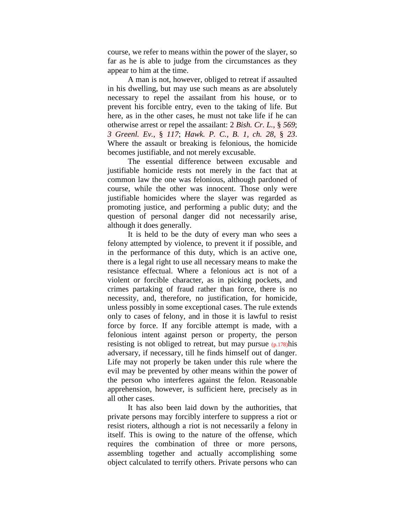course, we refer to means within the power of the slayer, so far as he is able to judge from the circumstances as they appear to him at the time.

A man is not, however, obliged to retreat if assaulted in his dwelling, but may use such means as are absolutely necessary to repel the assailant from his house, or to prevent his forcible entry, even to the taking of life. But here, as in the other cases, he must not take life if he can otherwise arrest or repel the assailant: 2 *Bish. Cr. L.*, § *569*; *3 Greenl. Ev.*, § *117*; *Hawk. P. C., B. 1, ch. 28*, § *23*. Where the assault or breaking is felonious, the homicide becomes justifiable, and not merely excusable.

The essential difference between excusable and justifiable homicide rests not merely in the fact that at common law the one was felonious, although pardoned of course, while the other was innocent. Those only were justifiable homicides where the slayer was regarded as promoting justice, and performing a public duty; and the question of personal danger did not necessarily arise, although it does generally.

It is held to be the duty of every man who sees a felony attempted by violence, to prevent it if possible, and in the performance of this duty, which is an active one, there is a legal right to use all necessary means to make the resistance effectual. Where a felonious act is not of a violent or forcible character, as in picking pockets, and crimes partaking of fraud rather than force, there is no necessity, and, therefore, no justification, for homicide, unless possibly in some exceptional cases. The rule extends only to cases of felony, and in those it is lawful to resist force by force. If any forcible attempt is made, with a felonious intent against person or property, the person resisting is not obliged to retreat, but may pursue  $(p.178)$ his adversary, if necessary, till he finds himself out of danger. Life may not properly be taken under this rule where the evil may be prevented by other means within the power of the person who interferes against the felon. Reasonable apprehension, however, is sufficient here, precisely as in all other cases.

It has also been laid down by the authorities, that private persons may forcibly interfere to suppress a riot or resist rioters, although a riot is not necessarily a felony in itself. This is owing to the nature of the offense, which requires the combination of three or more persons, assembling together and actually accomplishing some object calculated to terrify others. Private persons who can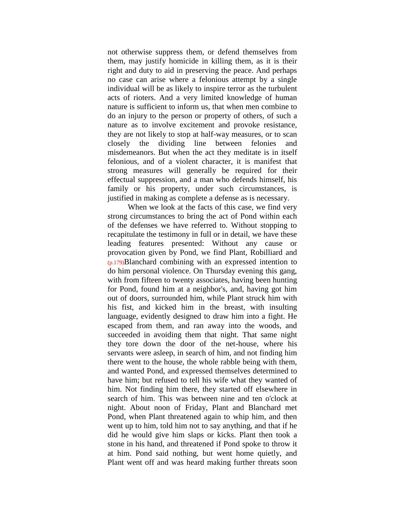not otherwise suppress them, or defend themselves from them, may justify homicide in killing them, as it is their right and duty to aid in preserving the peace. And perhaps no case can arise where a felonious attempt by a single individual will be as likely to inspire terror as the turbulent acts of rioters. And a very limited knowledge of human nature is sufficient to inform us, that when men combine to do an injury to the person or property of others, of such a nature as to involve excitement and provoke resistance, they are not likely to stop at half-way measures, or to scan closely the dividing line between felonies and misdemeanors. But when the act they meditate is in itself felonious, and of a violent character, it is manifest that strong measures will generally be required for their effectual suppression, and a man who defends himself, his family or his property, under such circumstances, is justified in making as complete a defense as is necessary.

When we look at the facts of this case, we find very strong circumstances to bring the act of Pond within each of the defenses we have referred to. Without stopping to recapitulate the testimony in full or in detail, we have these leading features presented: Without any cause or provocation given by Pond, we find Plant, Robilliard and (p.179)Blanchard combining with an expressed intention to do him personal violence. On Thursday evening this gang, with from fifteen to twenty associates, having been hunting for Pond, found him at a neighbor's, and, having got him out of doors, surrounded him, while Plant struck him with his fist, and kicked him in the breast, with insulting language, evidently designed to draw him into a fight. He escaped from them, and ran away into the woods, and succeeded in avoiding them that night. That same night they tore down the door of the net-house, where his servants were asleep, in search of him, and not finding him there went to the house, the whole rabble being with them, and wanted Pond, and expressed themselves determined to have him; but refused to tell his wife what they wanted of him. Not finding him there, they started off elsewhere in search of him. This was between nine and ten o'clock at night. About noon of Friday, Plant and Blanchard met Pond, when Plant threatened again to whip him, and then went up to him, told him not to say anything, and that if he did he would give him slaps or kicks. Plant then took a stone in his hand, and threatened if Pond spoke to throw it at him. Pond said nothing, but went home quietly, and Plant went off and was heard making further threats soon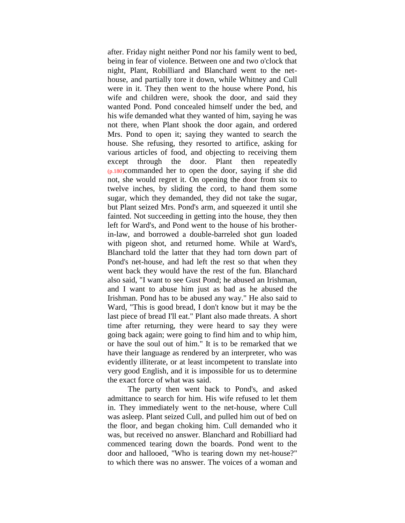after. Friday night neither Pond nor his family went to bed, being in fear of violence. Between one and two o'clock that night, Plant, Robilliard and Blanchard went to the nethouse, and partially tore it down, while Whitney and Cull were in it. They then went to the house where Pond, his wife and children were, shook the door, and said they wanted Pond. Pond concealed himself under the bed, and his wife demanded what they wanted of him, saying he was not there, when Plant shook the door again, and ordered Mrs. Pond to open it; saying they wanted to search the house. She refusing, they resorted to artifice, asking for various articles of food, and objecting to receiving them except through the door. Plant then repeatedly (p.180)commanded her to open the door, saying if she did not, she would regret it. On opening the door from six to twelve inches, by sliding the cord, to hand them some sugar, which they demanded, they did not take the sugar, but Plant seized Mrs. Pond's arm, and squeezed it until she fainted. Not succeeding in getting into the house, they then left for Ward's, and Pond went to the house of his brotherin-law, and borrowed a double-barreled shot gun loaded with pigeon shot, and returned home. While at Ward's, Blanchard told the latter that they had torn down part of Pond's net-house, and had left the rest so that when they went back they would have the rest of the fun. Blanchard also said, "I want to see Gust Pond; he abused an Irishman, and I want to abuse him just as bad as he abused the Irishman. Pond has to be abused any way." He also said to Ward, "This is good bread, I don't know but it may be the last piece of bread I'll eat." Plant also made threats. A short time after returning, they were heard to say they were going back again; were going to find him and to whip him, or have the soul out of him." It is to be remarked that we have their language as rendered by an interpreter, who was evidently illiterate, or at least incompetent to translate into very good English, and it is impossible for us to determine the exact force of what was said.

The party then went back to Pond's, and asked admittance to search for him. His wife refused to let them in. They immediately went to the net-house, where Cull was asleep. Plant seized Cull, and pulled him out of bed on the floor, and began choking him. Cull demanded who it was, but received no answer. Blanchard and Robilliard had commenced tearing down the boards. Pond went to the door and hallooed, "Who is tearing down my net-house?" to which there was no answer. The voices of a woman and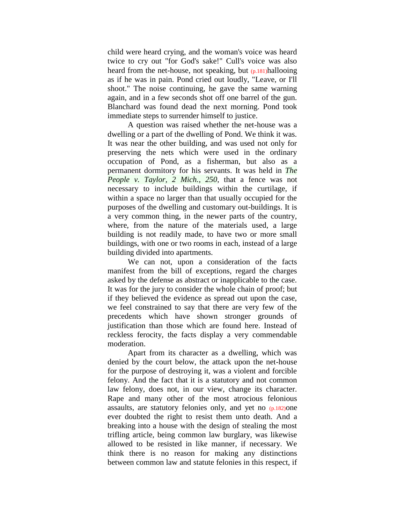child were heard crying, and the woman's voice was heard twice to cry out "for God's sake!" Cull's voice was also heard from the net-house, not speaking, but (p.181)hallooing as if he was in pain. Pond cried out loudly, "Leave, or I'll shoot." The noise continuing, he gave the same warning again, and in a few seconds shot off one barrel of the gun. Blanchard was found dead the next morning. Pond took immediate steps to surrender himself to justice.

A question was raised whether the net-house was a dwelling or a part of the dwelling of Pond. We think it was. It was near the other building, and was used not only for preserving the nets which were used in the ordinary occupation of Pond, as a fisherman, but also as a permanent dormitory for his servants. It was held in *The People v. Taylor, 2 Mich., 250*, that a fence was not necessary to include buildings within the curtilage, if within a space no larger than that usually occupied for the purposes of the dwelling and customary out-buildings. It is a very common thing, in the newer parts of the country, where, from the nature of the materials used, a large building is not readily made, to have two or more small buildings, with one or two rooms in each, instead of a large building divided into apartments.

We can not, upon a consideration of the facts manifest from the bill of exceptions, regard the charges asked by the defense as abstract or inapplicable to the case. It was for the jury to consider the whole chain of proof; but if they believed the evidence as spread out upon the case, we feel constrained to say that there are very few of the precedents which have shown stronger grounds of justification than those which are found here. Instead of reckless ferocity, the facts display a very commendable moderation.

Apart from its character as a dwelling, which was denied by the court below, the attack upon the net-house for the purpose of destroying it, was a violent and forcible felony. And the fact that it is a statutory and not common law felony, does not, in our view, change its character. Rape and many other of the most atrocious felonious assaults, are statutory felonies only, and yet no (p.182)one ever doubted the right to resist them unto death. And a breaking into a house with the design of stealing the most trifling article, being common law burglary, was likewise allowed to be resisted in like manner, if necessary. We think there is no reason for making any distinctions between common law and statute felonies in this respect, if